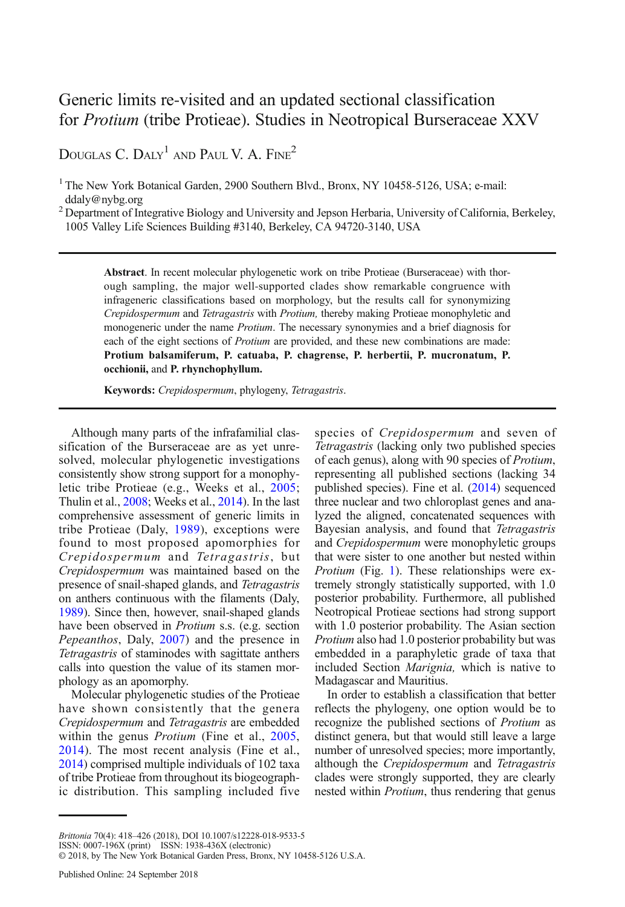# Generic limits re-visited and an updated sectional classification for Protium (tribe Protieae). Studies in Neotropical Burseraceae XXV

DOUGLAS C. DALY<sup>1</sup> AND PAUL V. A. FINE<sup>2</sup>

<sup>1</sup> The New York Botanical Garden, 2900 Southern Blvd., Bronx, NY 10458-5126, USA; e-mail: ddaly@nybg.org

<sup>2</sup> Department of Integrative Biology and University and Jepson Herbaria, University of California, Berkeley, 1005 Valley Life Sciences Building #3140, Berkeley, CA 94720-3140, USA

Abstract. In recent molecular phylogenetic work on tribe Protieae (Burseraceae) with thorough sampling, the major well-supported clades show remarkable congruence with infrageneric classifications based on morphology, but the results call for synonymizing Crepidospermum and Tetragastris with Protium, thereby making Protieae monophyletic and monogeneric under the name *Protium*. The necessary synonymies and a brief diagnosis for each of the eight sections of Protium are provided, and these new combinations are made: Protium balsamiferum, P. catuaba, P. chagrense, P. herbertii, P. mucronatum, P. occhionii, and P. rhynchophyllum.

Keywords: Crepidospermum, phylogeny, Tetragastris.

Although many parts of the infrafamilial classification of the Burseraceae are as yet unresolved, molecular phylogenetic investigations consistently show strong support for a monophyletic tribe Protieae (e.g., Weeks et al., [2005](#page-7-0); Thulin et al., [2008](#page-7-0); Weeks et al., [2014\)](#page-7-0). In the last comprehensive assessment of generic limits in tribe Protieae (Daly, [1989](#page-7-0)), exceptions were found to most proposed apomorphies for Crepidospermum and Tetragastris, but Crepidospermum was maintained based on the presence of snail-shaped glands, and Tetragastris on anthers continuous with the filaments (Daly, [1989](#page-7-0)). Since then, however, snail-shaped glands have been observed in Protium s.s. (e.g. section Pepeanthos, Daly, [2007](#page-7-0)) and the presence in Tetragastris of staminodes with sagittate anthers calls into question the value of its stamen morphology as an apomorphy.

Molecular phylogenetic studies of the Protieae have shown consistently that the genera Crepidospermum and Tetragastris are embedded within the genus *Protium* (Fine et al., [2005](#page-7-0), [2014](#page-7-0)). The most recent analysis (Fine et al., [2014](#page-7-0)) comprised multiple individuals of 102 taxa of tribe Protieae from throughout its biogeographic distribution. This sampling included five

species of Crepidospermum and seven of Tetragastris (lacking only two published species of each genus), along with 90 species of Protium, representing all published sections (lacking 34 published species). Fine et al. ([2014](#page-7-0)) sequenced three nuclear and two chloroplast genes and analyzed the aligned, concatenated sequences with Bayesian analysis, and found that Tetragastris and Crepidospermum were monophyletic groups that were sister to one another but nested within Protium (Fig. [1\)](#page-1-0). These relationships were extremely strongly statistically supported, with 1.0 posterior probability. Furthermore, all published Neotropical Protieae sections had strong support with 1.0 posterior probability. The Asian section Protium also had 1.0 posterior probability but was embedded in a paraphyletic grade of taxa that included Section Marignia, which is native to Madagascar and Mauritius.

In order to establish a classification that better reflects the phylogeny, one option would be to recognize the published sections of Protium as distinct genera, but that would still leave a large number of unresolved species; more importantly, although the Crepidospermum and Tetragastris clades were strongly supported, they are clearly nested within Protium, thus rendering that genus

Brittonia 70(4): 418-426 (2018), DOI 10.1007/s12228-018-9533-5

ISSN: 0007-196X (print) ISSN: 1938-436X (electronic)

<sup>© 2018,</sup> by The New York Botanical Garden Press, Bronx, NY 10458-5126 U.S.A.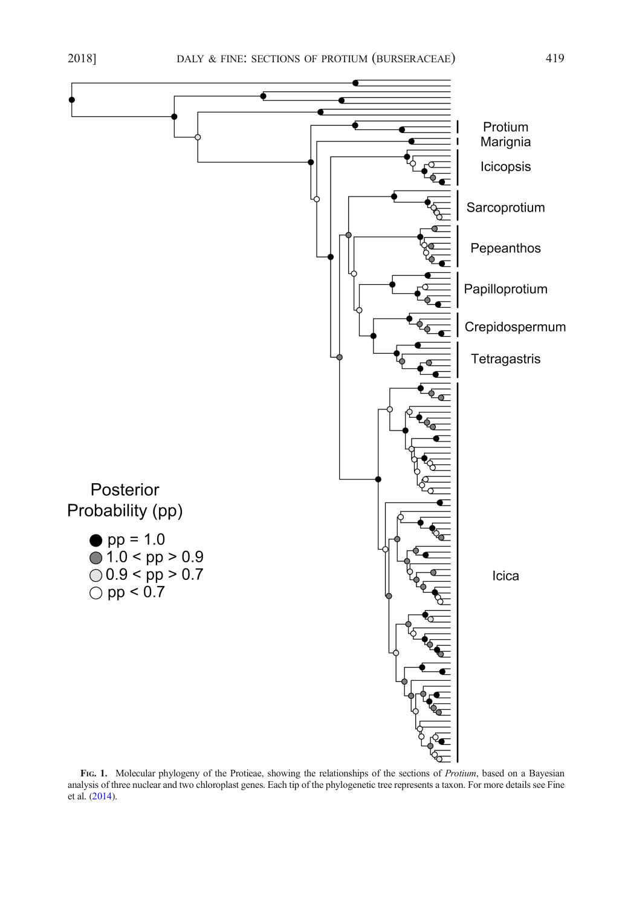<span id="page-1-0"></span>

FIG. 1. Molecular phylogeny of the Protieae, showing the relationships of the sections of Protium, based on a Bayesian analysis of three nuclear and two chloroplast genes. Each tip of the phylogenetic tree represents a taxon. For more details see Fine et al. [\(2014\)](#page-7-0).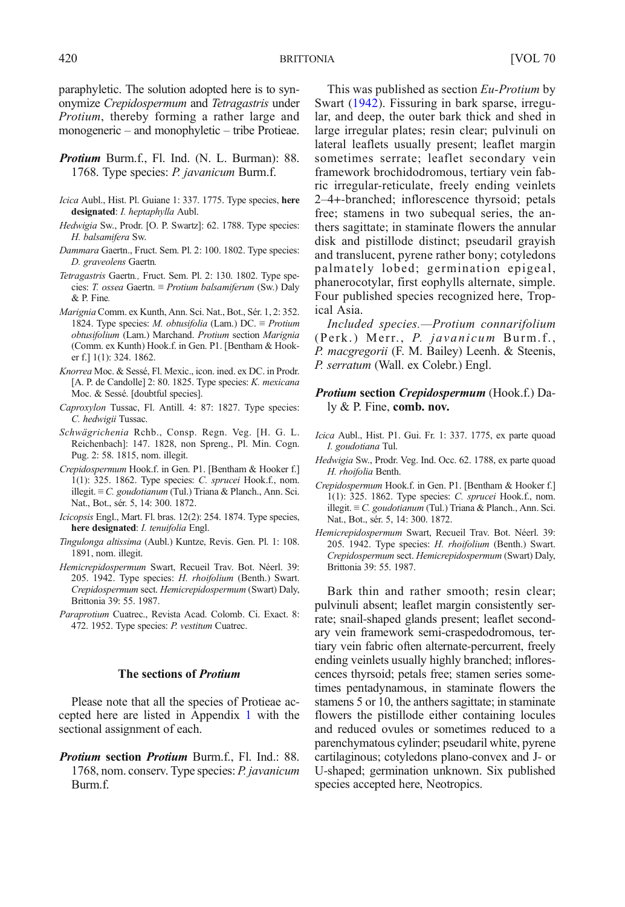paraphyletic. The solution adopted here is to synonymize Crepidospermum and Tetragastris under Protium, thereby forming a rather large and monogeneric – and monophyletic – tribe Protieae.

- Protium Burm.f., Fl. Ind. (N. L. Burman): 88. 1768. Type species: *P. javanicum* Burm.f.
- Icica Aubl., Hist. Pl. Guiane 1: 337. 1775. Type species, here designated: I. heptaphylla Aubl.
- Hedwigia Sw., Prodr. [O. P. Swartz]: 62. 1788. Type species: H. balsamifera Sw.
- Dammara Gaertn., Fruct. Sem. Pl. 2: 100. 1802. Type species: D. graveolens Gaertn.
- Tetragastris Gaertn., Fruct. Sem. Pl. 2: 130. 1802. Type species: T. ossea Gaertn. ≡ Protium balsamiferum (Sw.) Daly & P. Fine.
- Marignia Comm. ex Kunth, Ann. Sci. Nat., Bot., Sér. 1, 2: 352. 1824. Type species: M. obtusifolia (Lam.) DC.  $\equiv$  Protium obtusifolium (Lam.) Marchand. Protium section Marignia (Comm. ex Kunth) Hook.f. in Gen. P1. [Bentham & Hooker f.] 1(1): 324. 1862.
- Knorrea Moc. & Sessé, Fl. Mexic., icon. ined. ex DC. in Prodr. [A. P. de Candolle] 2: 80. 1825. Type species: K. mexicana Moc. & Sessé. [doubtful species].
- Caproxylon Tussac, Fl. Antill. 4: 87: 1827. Type species: C. hedwigii Tussac.
- Schwägrichenia Rchb., Consp. Regn. Veg. [H. G. L. Reichenbach]: 147. 1828, non Spreng., Pl. Min. Cogn. Pug. 2: 58. 1815, nom. illegit.
- Crepidospermum Hook.f. in Gen. P1. [Bentham & Hooker f.] 1(1): 325. 1862. Type species: C. sprucei Hook.f., nom. illegit. ≡ C. goudotianum (Tul.) Triana & Planch., Ann. Sci. Nat., Bot., sér. 5, 14: 300. 1872.
- Icicopsis Engl., Mart. Fl. bras. 12(2): 254. 1874. Type species, here designated: *I. tenuifolia* Engl.
- Tingulonga altissima (Aubl.) Kuntze, Revis. Gen. Pl. 1: 108. 1891, nom. illegit.
- Hemicrepidospermum Swart, Recueil Trav. Bot. Néerl. 39: 205. 1942. Type species: H. rhoifolium (Benth.) Swart. Crepidospermum sect. Hemicrepidospermum (Swart) Daly, Brittonia 39: 55. 1987.
- Paraprotium Cuatrec., Revista Acad. Colomb. Ci. Exact. 8: 472. 1952. Type species: P. vestitum Cuatrec.

## The sections of Protium

Please note that all the species of Protieae accepted here are listed in Appendix [1](#page-7-0) with the sectional assignment of each.

Protium section Protium Burm.f., Fl. Ind.: 88. 1768, nom. conserv. Type species: P. javanicum Burm.f.

This was published as section Eu-Protium by Swart ([1942](#page-7-0)). Fissuring in bark sparse, irregular, and deep, the outer bark thick and shed in large irregular plates; resin clear; pulvinuli on lateral leaflets usually present; leaflet margin sometimes serrate; leaflet secondary vein framework brochidodromous, tertiary vein fabric irregular-reticulate, freely ending veinlets 2–4+-branched; inflorescence thyrsoid; petals free; stamens in two subequal series, the anthers sagittate; in staminate flowers the annular disk and pistillode distinct; pseudaril grayish and translucent, pyrene rather bony; cotyledons palmately lobed; germination epigeal, phanerocotylar, first eophylls alternate, simple. Four published species recognized here, Tropical Asia.

Included species.—Protium connarifolium (Perk.) Merr., P. javanicum Burm.f., P. macgregorii (F. M. Bailey) Leenh. & Steenis, P. serratum (Wall. ex Colebr.) Engl.

# Protium section Crepidospermum (Hook.f.) Daly & P. Fine, comb. nov.

- Icica Aubl., Hist. P1. Gui. Fr. 1: 337. 1775, ex parte quoad I. goudotiana Tul.
- Hedwigia Sw., Prodr. Veg. Ind. Occ. 62. 1788, ex parte quoad H. rhoifolia Benth.
- Crepidospermum Hook.f. in Gen. P1. [Bentham & Hooker f.] 1(1): 325. 1862. Type species: C. sprucei Hook.f., nom. illegit. ≡ C. goudotianum (Tul.) Triana & Planch., Ann. Sci. Nat., Bot., sér. 5, 14: 300. 1872.
- Hemicrepidospermum Swart, Recueil Trav. Bot. Néerl. 39: 205. 1942. Type species: H. rhoifolium (Benth.) Swart. Crepidospermum sect. Hemicrepidospermum (Swart) Daly, Brittonia 39: 55. 1987.

Bark thin and rather smooth; resin clear; pulvinuli absent; leaflet margin consistently serrate; snail-shaped glands present; leaflet secondary vein framework semi-craspedodromous, tertiary vein fabric often alternate-percurrent, freely ending veinlets usually highly branched; inflorescences thyrsoid; petals free; stamen series sometimes pentadynamous, in staminate flowers the stamens 5 or 10, the anthers sagittate; in staminate flowers the pistillode either containing locules and reduced ovules or sometimes reduced to a parenchymatous cylinder; pseudaril white, pyrene cartilaginous; cotyledons plano-convex and J- or U-shaped; germination unknown. Six published species accepted here, Neotropics.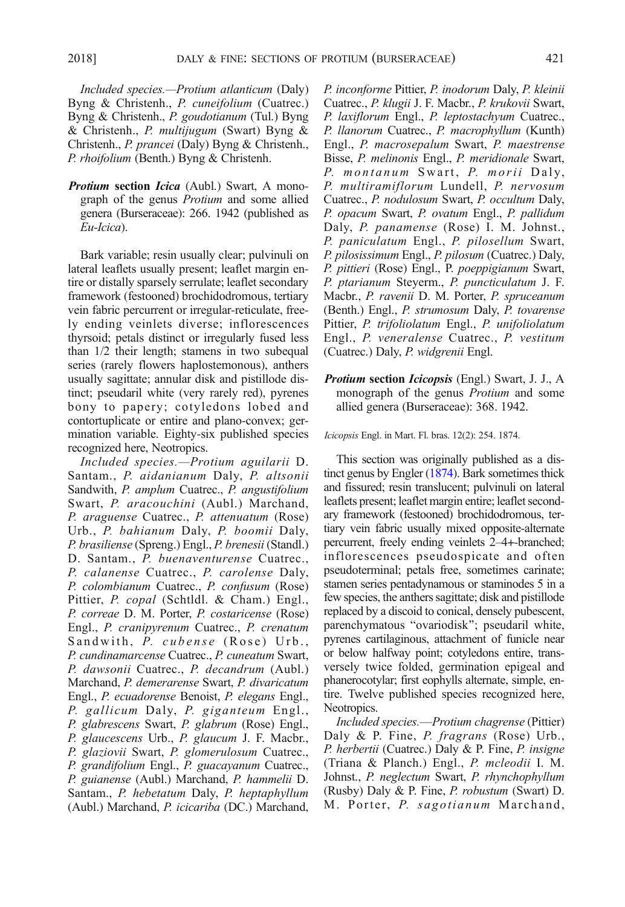Included species.—Protium atlanticum (Daly) Byng & Christenh., P. cuneifolium (Cuatrec.) Byng & Christenh., P. goudotianum (Tul.) Byng & Christenh., P. multijugum (Swart) Byng & Christenh., P. prancei (Daly) Byng & Christenh., P. rhoifolium (Benth.) Byng & Christenh.

Protium section Icica (Aubl.) Swart, A monograph of the genus Protium and some allied genera (Burseraceae): 266. 1942 (published as Eu-Icica).

Bark variable; resin usually clear; pulvinuli on lateral leaflets usually present; leaflet margin entire or distally sparsely serrulate; leaflet secondary framework (festooned) brochidodromous, tertiary vein fabric percurrent or irregular-reticulate, freely ending veinlets diverse; inflorescences thyrsoid; petals distinct or irregularly fused less than 1/2 their length; stamens in two subequal series (rarely flowers haplostemonous), anthers usually sagittate; annular disk and pistillode distinct; pseudaril white (very rarely red), pyrenes bony to papery; cotyledons lobed and contortuplicate or entire and plano-convex; germination variable. Eighty-six published species recognized here, Neotropics.

Included species.—Protium aguilarii D. Santam., P. aidanianum Daly, P. altsonii Sandwith, P. amplum Cuatrec., P. angustifolium Swart, P. aracouchini (Aubl.) Marchand, P. araguense Cuatrec., P. attenuatum (Rose) Urb., P. bahianum Daly, P. boomii Daly, P. brasiliense (Spreng.) Engl., P. brenesii (Standl.) D. Santam., P. buenaventurense Cuatrec., P. calanense Cuatrec., P. carolense Daly, P. colombianum Cuatrec., P. confusum (Rose) Pittier, P. copal (Schtldl. & Cham.) Engl., P. correae D. M. Porter, P. costaricense (Rose) Engl., P. cranipyrenum Cuatrec., P. crenatum Sandwith, P. cubense (Rose) Urb., P. cundinamarcense Cuatrec., P. cuneatum Swart, P. dawsonii Cuatrec., P. decandrum (Aubl.) Marchand, P. demerarense Swart, P. divaricatum Engl., P. ecuadorense Benoist, P. elegans Engl., P. gallicum Daly, P. giganteum Engl., P. glabrescens Swart, P. glabrum (Rose) Engl., P. glaucescens Urb., P. glaucum J. F. Macbr., P. glaziovii Swart, P. glomerulosum Cuatrec., P. grandifolium Engl., P. guacayanum Cuatrec., P. guianense (Aubl.) Marchand, P. hammelii D. Santam., P. hebetatum Daly, P. heptaphyllum (Aubl.) Marchand, P. icicariba (DC.) Marchand, P. inconforme Pittier, P. inodorum Daly, P. kleinii Cuatrec., P. klugii J. F. Macbr., P. krukovii Swart, P. laxiflorum Engl., P. leptostachyum Cuatrec., P. llanorum Cuatrec., P. macrophyllum (Kunth) Engl., P. macrosepalum Swart, P. maestrense Bisse, P. melinonis Engl., P. meridionale Swart, P. montanum Swart, P. morii Daly, P. multiramiflorum Lundell, P. nervosum Cuatrec., P. nodulosum Swart, P. occultum Daly, P. opacum Swart, P. ovatum Engl., P. pallidum Daly, P. panamense (Rose) I. M. Johnst., P. paniculatum Engl., P. pilosellum Swart, P. pilosissimum Engl., P. pilosum (Cuatrec.) Daly, P. pittieri (Rose) Engl., P. poeppigianum Swart, P. ptarianum Steyerm., P. puncticulatum J. F. Macbr., P. ravenii D. M. Porter, P. spruceanum (Benth.) Engl., P. strumosum Daly, P. tovarense Pittier, P. trifoliolatum Engl., P. unifoliolatum Engl., P. veneralense Cuatrec., P. vestitum (Cuatrec.) Daly, P. widgrenii Engl.

**Protium section Icicopsis** (Engl.) Swart, J. J., A monograph of the genus Protium and some allied genera (Burseraceae): 368. 1942.

Icicopsis Engl. in Mart. Fl. bras. 12(2): 254. 1874.

This section was originally published as a distinct genus by Engler [\(1874\)](#page-7-0). Bark sometimes thick and fissured; resin translucent; pulvinuli on lateral leaflets present; leaflet margin entire; leaflet secondary framework (festooned) brochidodromous, tertiary vein fabric usually mixed opposite-alternate percurrent, freely ending veinlets 2–4+-branched; inflorescences pseudospicate and often pseudoterminal; petals free, sometimes carinate; stamen series pentadynamous or staminodes 5 in a few species, the anthers sagittate; disk and pistillode replaced by a discoid to conical, densely pubescent, parenchymatous "ovariodisk"; pseudaril white, pyrenes cartilaginous, attachment of funicle near or below halfway point; cotyledons entire, transversely twice folded, germination epigeal and phanerocotylar; first eophylls alternate, simple, entire. Twelve published species recognized here, Neotropics.

Included species.—Protium chagrense (Pittier) Daly & P. Fine, P. fragrans (Rose) Urb., P. herbertii (Cuatrec.) Daly & P. Fine, P. insigne (Triana & Planch.) Engl., P. mcleodii I. M. Johnst., P. neglectum Swart, P. rhynchophyllum (Rusby) Daly & P. Fine, P. robustum (Swart) D. M. Porter, P. sagotianum Marchand,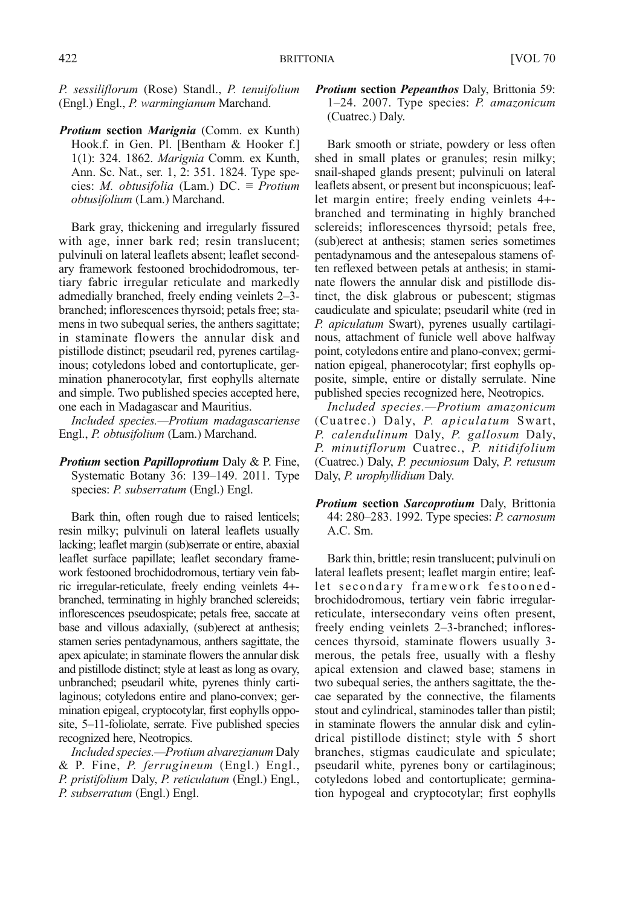P. sessiliflorum (Rose) Standl., P. tenuifolium (Engl.) Engl., P. warmingianum Marchand.

Protium section Marignia (Comm. ex Kunth) Hook.f. in Gen. Pl. [Bentham & Hooker f.] 1(1): 324. 1862. Marignia Comm. ex Kunth, Ann. Sc. Nat., ser. 1, 2: 351. 1824. Type species: M. obtusifolia (Lam.) DC.  $\equiv$  Protium obtusifolium (Lam.) Marchand.

Bark gray, thickening and irregularly fissured with age, inner bark red; resin translucent; pulvinuli on lateral leaflets absent; leaflet secondary framework festooned brochidodromous, tertiary fabric irregular reticulate and markedly admedially branched, freely ending veinlets 2–3 branched; inflorescences thyrsoid; petals free; stamens in two subequal series, the anthers sagittate; in staminate flowers the annular disk and pistillode distinct; pseudaril red, pyrenes cartilaginous; cotyledons lobed and contortuplicate, germination phanerocotylar, first eophylls alternate and simple. Two published species accepted here, one each in Madagascar and Mauritius.

Included species.—Protium madagascariense Engl., P. obtusifolium (Lam.) Marchand.

**Protium section Papilloprotium Daly & P. Fine,** Systematic Botany 36: 139–149. 2011. Type species: P. subserratum (Engl.) Engl.

Bark thin, often rough due to raised lenticels; resin milky; pulvinuli on lateral leaflets usually lacking; leaflet margin (sub)serrate or entire, abaxial leaflet surface papillate; leaflet secondary framework festooned brochidodromous, tertiary vein fabric irregular-reticulate, freely ending veinlets 4+ branched, terminating in highly branched sclereids; inflorescences pseudospicate; petals free, saccate at base and villous adaxially, (sub)erect at anthesis; stamen series pentadynamous, anthers sagittate, the apex apiculate; in staminate flowers the annular disk and pistillode distinct; style at least as long as ovary, unbranched; pseudaril white, pyrenes thinly cartilaginous; cotyledons entire and plano-convex; germination epigeal, cryptocotylar, first eophylls opposite, 5–11-foliolate, serrate. Five published species recognized here, Neotropics.

Included species.—Protium alvarezianum Daly & P. Fine, P. ferrugineum (Engl.) Engl., P. pristifolium Daly, P. reticulatum (Engl.) Engl., P. subserratum (Engl.) Engl.

Protium section Pepeanthos Daly, Brittonia 59: 1–24. 2007. Type species: P. amazonicum (Cuatrec.) Daly.

Bark smooth or striate, powdery or less often shed in small plates or granules; resin milky; snail-shaped glands present; pulvinuli on lateral leaflets absent, or present but inconspicuous; leaflet margin entire; freely ending veinlets 4+ branched and terminating in highly branched sclereids; inflorescences thyrsoid; petals free, (sub)erect at anthesis; stamen series sometimes pentadynamous and the antesepalous stamens often reflexed between petals at anthesis; in staminate flowers the annular disk and pistillode distinct, the disk glabrous or pubescent; stigmas caudiculate and spiculate; pseudaril white (red in P. apiculatum Swart), pyrenes usually cartilaginous, attachment of funicle well above halfway point, cotyledons entire and plano-convex; germination epigeal, phanerocotylar; first eophylls opposite, simple, entire or distally serrulate. Nine published species recognized here, Neotropics.

Included species.—Protium amazonicum (Cuatrec.) Daly, P. apiculatum Swart, P. calendulinum Daly, P. gallosum Daly, P. minutiflorum Cuatrec., P. nitidifolium (Cuatrec.) Daly, P. pecuniosum Daly, P. retusum Daly, P. urophyllidium Daly.

Protium section Sarcoprotium Daly, Brittonia 44: 280–283. 1992. Type species: P. carnosum A.C. Sm.

Bark thin, brittle; resin translucent; pulvinuli on lateral leaflets present; leaflet margin entire; leaflet secondary framework festoonedbrochidodromous, tertiary vein fabric irregularreticulate, intersecondary veins often present, freely ending veinlets 2–3-branched; inflorescences thyrsoid, staminate flowers usually 3 merous, the petals free, usually with a fleshy apical extension and clawed base; stamens in two subequal series, the anthers sagittate, the thecae separated by the connective, the filaments stout and cylindrical, staminodes taller than pistil; in staminate flowers the annular disk and cylindrical pistillode distinct; style with 5 short branches, stigmas caudiculate and spiculate; pseudaril white, pyrenes bony or cartilaginous; cotyledons lobed and contortuplicate; germination hypogeal and cryptocotylar; first eophylls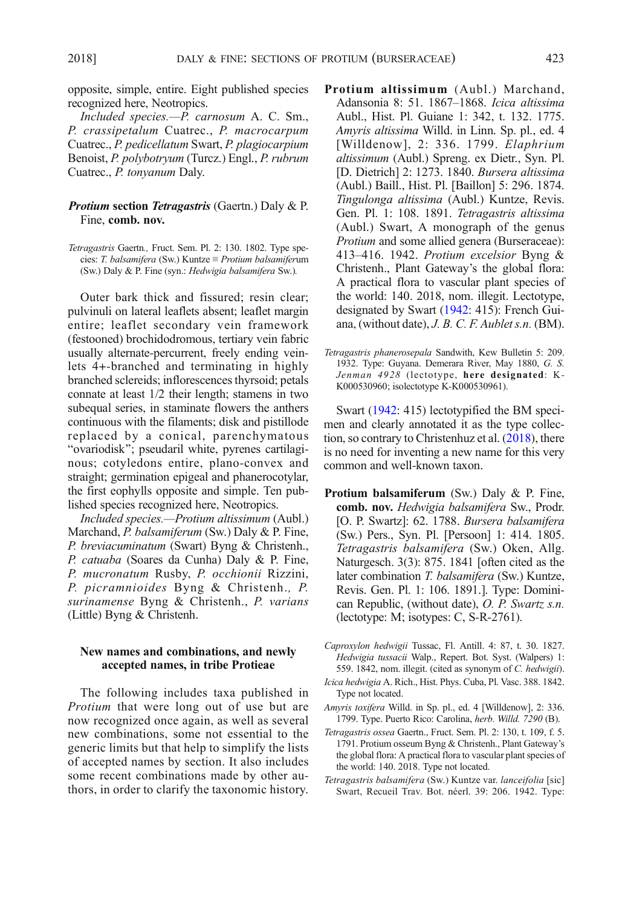opposite, simple, entire. Eight published species recognized here, Neotropics.

Included species.—P. carnosum A. C. Sm., P. crassipetalum Cuatrec., P. macrocarpum Cuatrec., P. pedicellatum Swart, P. plagiocarpium Benoist, P. polybotryum (Turcz.) Engl., P. rubrum Cuatrec., P. tonyanum Daly.

# Protium section Tetragastris (Gaertn.) Daly & P. Fine, comb. nov.

Tetragastris Gaertn., Fruct. Sem. Pl. 2: 130. 1802. Type species: T. balsamifera (Sw.) Kuntze ≡ Protium balsamiferum (Sw.) Daly & P. Fine (syn.: Hedwigia balsamifera Sw.).

Outer bark thick and fissured; resin clear; pulvinuli on lateral leaflets absent; leaflet margin entire; leaflet secondary vein framework (festooned) brochidodromous, tertiary vein fabric usually alternate-percurrent, freely ending veinlets 4+-branched and terminating in highly branched sclereids; inflorescences thyrsoid; petals connate at least 1/2 their length; stamens in two subequal series, in staminate flowers the anthers continuous with the filaments; disk and pistillode replaced by a conical, parenchymatous "ovariodisk"; pseudaril white, pyrenes cartilaginous; cotyledons entire, plano-convex and straight; germination epigeal and phanerocotylar, the first eophylls opposite and simple. Ten published species recognized here, Neotropics.

Included species.—Protium altissimum (Aubl.) Marchand, P. balsamiferum (Sw.) Daly & P. Fine, P. breviacuminatum (Swart) Byng & Christenh., P. catuaba (Soares da Cunha) Daly & P. Fine, P. mucronatum Rusby, P. occhionii Rizzini, P. picramnioides Byng & Christenh., P. surinamense Byng & Christenh., P. varians (Little) Byng & Christenh.

# New names and combinations, and newly accepted names, in tribe Protieae

The following includes taxa published in *Protium* that were long out of use but are now recognized once again, as well as several new combinations, some not essential to the generic limits but that help to simplify the lists of accepted names by section. It also includes some recent combinations made by other authors, in order to clarify the taxonomic history.

- Protium altissimum (Aubl.) Marchand, Adansonia 8: 51. 1867–1868. Icica altissima Aubl., Hist. Pl. Guiane 1: 342, t. 132. 1775. Amyris altissima Willd. in Linn. Sp. pl., ed. 4 [Willdenow], 2: 336. 1799. Elaphrium altissimum (Aubl.) Spreng. ex Dietr., Syn. Pl. [D. Dietrich] 2: 1273. 1840. Bursera altissima (Aubl.) Baill., Hist. Pl. [Baillon] 5: 296. 1874. Tingulonga altissima (Aubl.) Kuntze, Revis. Gen. Pl. 1: 108. 1891. Tetragastris altissima (Aubl.) Swart, A monograph of the genus Protium and some allied genera (Burseraceae): 413–416. 1942. Protium excelsior Byng & Christenh., Plant Gateway's the global flora: A practical flora to vascular plant species of the world: 140. 2018, nom. illegit. Lectotype, designated by Swart [\(1942:](#page-7-0) 415): French Guiana, (without date), J. B. C. F. Aublet s.n. (BM).
- Tetragastris phanerosepala Sandwith, Kew Bulletin 5: 209. 1932. Type: Guyana. Demerara River, May 1880, G. S. Jenman 4928 (lectotype, here designated: K-K000530960; isolectotype K-K000530961).

Swart [\(1942](#page-7-0): 415) lectotypified the BM specimen and clearly annotated it as the type collection, so contrary to Christenhuz et al.  $(2018)$ , there is no need for inventing a new name for this very common and well-known taxon.

- Protium balsamiferum (Sw.) Daly & P. Fine, comb. nov. Hedwigia balsamifera Sw., Prodr. [O. P. Swartz]: 62. 1788. Bursera balsamifera (Sw.) Pers., Syn. Pl. [Persoon] 1: 414. 1805. Tetragastris balsamifera (Sw.) Oken, Allg. Naturgesch. 3(3): 875. 1841 [often cited as the later combination T. balsamifera (Sw.) Kuntze, Revis. Gen. Pl. 1: 106. 1891.]. Type: Dominican Republic, (without date), O. P. Swartz s.n. (lectotype: M; isotypes: C, S-R-2761).
- Caproxylon hedwigii Tussac, Fl. Antill. 4: 87, t. 30. 1827. Hedwigia tussacii Walp., Repert. Bot. Syst. (Walpers) 1: 559. 1842, nom. illegit. (cited as synonym of C. hedwigii).
- Icica hedwigia A. Rich., Hist. Phys. Cuba, Pl. Vasc. 388. 1842. Type not located.
- Amyris toxifera Willd. in Sp. pl., ed. 4 [Willdenow], 2: 336. 1799. Type. Puerto Rico: Carolina, herb. Willd. 7290 (B).
- Tetragastris ossea Gaertn., Fruct. Sem. Pl. 2: 130, t. 109, f. 5. 1791. Protium osseum Byng & Christenh., Plant Gateway's the global flora: A practical flora to vascular plant species of the world: 140. 2018. Type not located.
- Tetragastris balsamifera (Sw.) Kuntze var. lanceifolia [sic] Swart, Recueil Trav. Bot. néerl. 39: 206. 1942. Type: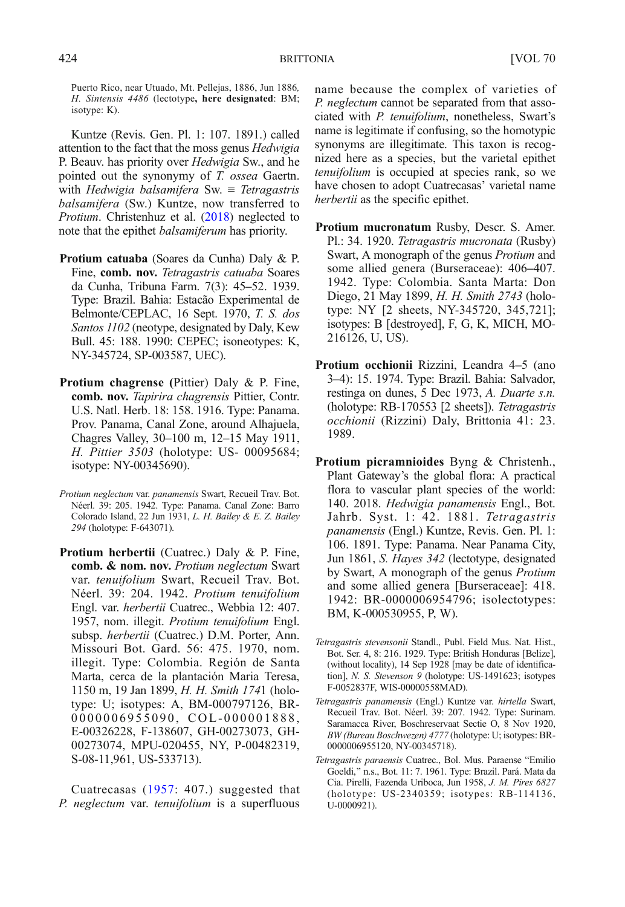Puerto Rico, near Utuado, Mt. Pellejas, 1886, Jun 1886, H. Sintensis 4486 (lectotype, here designated: BM; isotype: K).

Kuntze (Revis. Gen. Pl. 1: 107. 1891.) called attention to the fact that the moss genus Hedwigia P. Beauv. has priority over Hedwigia Sw., and he pointed out the synonymy of T. ossea Gaertn. with Hedwigia balsamifera Sw.  $\equiv$  Tetragastris balsamifera (Sw.) Kuntze, now transferred to Protium. Christenhuz et al. ([2018](#page-7-0)) neglected to note that the epithet balsamiferum has priority.

- Protium catuaba (Soares da Cunha) Daly & P. Fine, comb. nov. Tetragastris catuaba Soares da Cunha, Tribuna Farm. 7(3): 45–52. 1939. Type: Brazil. Bahia: Estacão Experimental de Belmonte/CEPLAC, 16 Sept. 1970, T. S. dos Santos 1102 (neotype, designated by Daly, Kew Bull. 45: 188. 1990: CEPEC; isoneotypes: K, NY-345724, SP-003587, UEC).
- Protium chagrense (Pittier) Daly & P. Fine, comb. nov. Tapirira chagrensis Pittier, Contr. U.S. Natl. Herb. 18: 158. 1916. Type: Panama. Prov. Panama, Canal Zone, around Alhajuela, Chagres Valley, 30–100 m, 12–15 May 1911, H. Pittier 3503 (holotype: US- 00095684; isotype: NY-00345690).
- Protium neglectum var. panamensis Swart, Recueil Trav. Bot. Néerl. 39: 205. 1942. Type: Panama. Canal Zone: Barro Colorado Island, 22 Jun 1931, L. H. Bailey & E. Z. Bailey 294 (holotype: F-643071).
- Protium herbertii (Cuatrec.) Daly & P. Fine, comb. & nom. nov. Protium neglectum Swart var. tenuifolium Swart, Recueil Trav. Bot. Néerl. 39: 204. 1942. Protium tenuifolium Engl. var. herbertii Cuatrec., Webbia 12: 407. 1957, nom. illegit. Protium tenuifolium Engl. subsp. herbertii (Cuatrec.) D.M. Porter, Ann. Missouri Bot. Gard. 56: 475. 1970, nom. illegit. Type: Colombia. Región de Santa Marta, cerca de la plantación Maria Teresa, 1150 m, 19 Jan 1899, H. H. Smith 1741 (holotype: U; isotypes: A, BM-000797126, BR-0000006955090, COL-000001888, E-00326228, F-138607, GH-00273073, GH-00273074, MPU-020455, NY, P-00482319, S-08-11,961, US-533713).

Cuatrecasas ([1957:](#page-7-0) 407.) suggested that P. neglectum var. tenuifolium is a superfluous

name because the complex of varieties of P. neglectum cannot be separated from that associated with P. tenuifolium, nonetheless, Swart's name is legitimate if confusing, so the homotypic synonyms are illegitimate. This taxon is recognized here as a species, but the varietal epithet tenuifolium is occupied at species rank, so we have chosen to adopt Cuatrecasas' varietal name herbertii as the specific epithet.

- Protium mucronatum Rusby, Descr. S. Amer. Pl.: 34. 1920. Tetragastris mucronata (Rusby) Swart, A monograph of the genus Protium and some allied genera (Burseraceae): 406–407. 1942. Type: Colombia. Santa Marta: Don Diego, 21 May 1899, H. H. Smith 2743 (holotype: NY [2 sheets, NY-345720, 345,721]; isotypes: B [destroyed], F, G, K, MICH, MO-216126, U, US).
- Protium occhionii Rizzini, Leandra 4–5 (ano 3–4): 15. 1974. Type: Brazil. Bahia: Salvador, restinga on dunes, 5 Dec 1973, A. Duarte s.n. (holotype: RB-170553 [2 sheets]). Tetragastris occhionii (Rizzini) Daly, Brittonia 41: 23. 1989.
- Protium picramnioides Byng & Christenh., Plant Gateway's the global flora: A practical flora to vascular plant species of the world: 140. 2018. Hedwigia panamensis Engl., Bot. Jahrb. Syst. 1: 42. 1881. Tetragastris panamensis (Engl.) Kuntze, Revis. Gen. Pl. 1: 106. 1891. Type: Panama. Near Panama City, Jun 1861, S. Hayes 342 (lectotype, designated by Swart, A monograph of the genus Protium and some allied genera [Burseraceae]: 418. 1942: BR-0000006954796; isolectotypes: BM, K-000530955, P, W).
- Tetragastris stevensonii Standl., Publ. Field Mus. Nat. Hist., Bot. Ser. 4, 8: 216. 1929. Type: British Honduras [Belize], (without locality), 14 Sep 1928 [may be date of identification], N. S. Stevenson 9 (holotype: US-1491623; isotypes F-0052837F, WIS-00000558MAD).
- Tetragastris panamensis (Engl.) Kuntze var. hirtella Swart, Recueil Trav. Bot. Néerl. 39: 207. 1942. Type: Surinam. Saramacca River, Boschreservaat Sectie O, 8 Nov 1920, BW (Bureau Boschwezen) 4777 (holotype: U; isotypes: BR-0000006955120, NY-00345718).
- Tetragastris paraensis Cuatrec., Bol. Mus. Paraense "Emilio Goeldi,^ n.s., Bot. 11: 7. 1961. Type: Brazil. Pará. Mata da Cia. Pirelli, Fazenda Uriboca, Jun 1958, J. M. Pires 6827 (holotype: US-2340359; isotypes: RB-114136, U-0000921).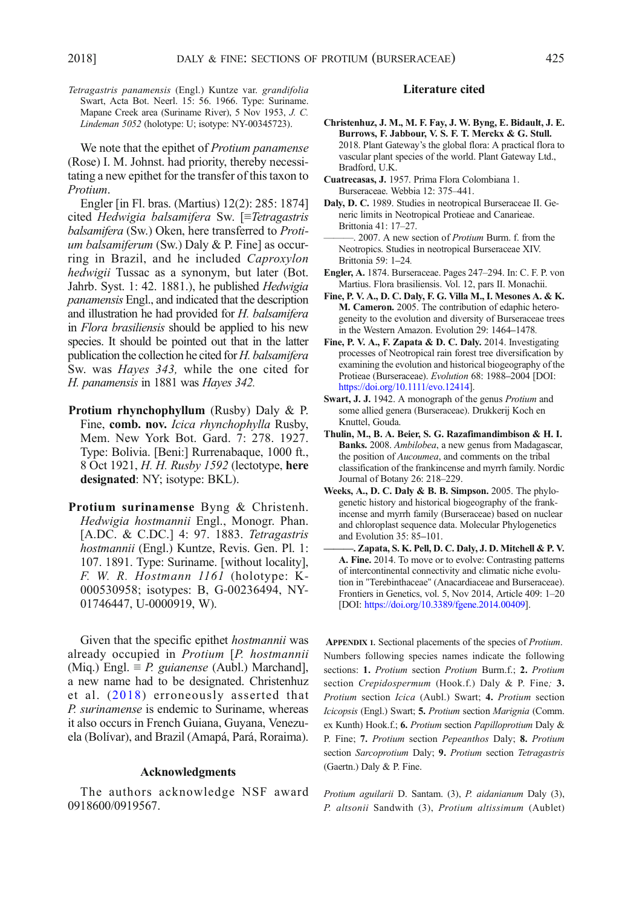<span id="page-7-0"></span>Tetragastris panamensis (Engl.) Kuntze var. grandifolia Swart, Acta Bot. Neerl. 15: 56. 1966. Type: Suriname. Mapane Creek area (Suriname River), 5 Nov 1953, J. C. Lindeman 5052 (holotype: U; isotype: NY-00345723).

We note that the epithet of *Protium panamense* (Rose) I. M. Johnst. had priority, thereby necessitating a new epithet for the transfer of this taxon to Protium.

Engler [in Fl. bras. (Martius) 12(2): 285: 1874] cited Hedwigia balsamifera Sw. [≡Tetragastris balsamifera (Sw.) Oken, here transferred to Protium balsamiferum (Sw.) Daly & P. Fine] as occurring in Brazil, and he included Caproxylon hedwigii Tussac as a synonym, but later (Bot. Jahrb. Syst. 1: 42. 1881.), he published Hedwigia panamensis Engl., and indicated that the description and illustration he had provided for H. balsamifera in Flora brasiliensis should be applied to his new species. It should be pointed out that in the latter publication the collection he cited for H. balsamifera Sw. was Hayes 343, while the one cited for H. panamensis in 1881 was Hayes 342.

- Protium rhynchophyllum (Rusby) Daly & P. Fine, comb. nov. Icica rhynchophylla Rusby, Mem. New York Bot. Gard. 7: 278. 1927. Type: Bolivia. [Beni:] Rurrenabaque, 1000 ft., 8 Oct 1921, H. H. Rusby 1592 (lectotype, here designated: NY; isotype: BKL).
- Protium surinamense Byng & Christenh. Hedwigia hostmannii Engl., Monogr. Phan. [A.DC. & C.DC.] 4: 97. 1883. Tetragastris hostmannii (Engl.) Kuntze, Revis. Gen. Pl. 1: 107. 1891. Type: Suriname. [without locality], F. W. R. Hostmann 1161 (holotype: K-000530958; isotypes: B, G-00236494, NY-01746447, U-0000919, W).

Given that the specific epithet hostmannii was already occupied in Protium [P. hostmannii (Miq.) Engl.  $\equiv P$ . guianense (Aubl.) Marchand], a new name had to be designated. Christenhuz et al. (2018) erroneously asserted that P. surinamense is endemic to Suriname, whereas it also occurs in French Guiana, Guyana, Venezuela (Bolívar), and Brazil (Amapá, Pará, Roraima).

### Acknowledgments

The authors acknowledge NSF award 0918600/0919567.

#### Literature cited

- Christenhuz, J. M., M. F. Fay, J. W. Byng, E. Bidault, J. E. Burrows, F. Jabbour, V. S. F. T. Merckx & G. Stull. 2018. Plant Gateway's the global flora: A practical flora to vascular plant species of the world. Plant Gateway Ltd., Bradford, U.K.
- Cuatrecasas, J. 1957. Prima Flora Colombiana 1. Burseraceae. Webbia 12: 375–441.

Daly, D. C. 1989. Studies in neotropical Burseraceae II. Generic limits in Neotropical Protieae and Canarieae. Brittonia 41: 17–27.

-. 2007. A new section of *Protium* Burm. f. from the Neotropics. Studies in neotropical Burseraceae XIV. Brittonia 59: 1–24.

- Engler, A. 1874. Burseraceae. Pages 247–294. In: C. F. P. von Martius. Flora brasiliensis. Vol. 12, pars II. Monachii.
- Fine, P. V. A., D. C. Daly, F. G. Villa M., I. Mesones A. & K. M. Cameron. 2005. The contribution of edaphic heterogeneity to the evolution and diversity of Burseraceae trees in the Western Amazon. Evolution 29: 1464–1478.
- Fine, P. V. A., F. Zapata & D. C. Daly. 2014. Investigating processes of Neotropical rain forest tree diversification by examining the evolution and historical biogeography of the Protieae (Burseraceae). Evolution 68: 1988–2004 [DOI: [https://doi.org/10.1111/evo.12414\]](http://dx.doi.org/10.1111/evo.12414).
- Swart, J. J. 1942. A monograph of the genus Protium and some allied genera (Burseraceae). Drukkerij Koch en Knuttel, Gouda.
- Thulin, M., B. A. Beier, S. G. Razafimandimbison & H. I. Banks. 2008. Ambilobea, a new genus from Madagascar, the position of Aucoumea, and comments on the tribal classification of the frankincense and myrrh family. Nordic Journal of Botany 26: 218–229.
- Weeks, A., D. C. Daly & B. B. Simpson. 2005. The phylogenetic history and historical biogeography of the frankincense and myrrh family (Burseraceae) based on nuclear and chloroplast sequence data. Molecular Phylogenetics and Evolution 35: 85–101.
- Zapata, S. K. Pell, D. C. Daly, J. D. Mitchell & P. V. A. Fine. 2014. To move or to evolve: Contrasting patterns of intercontinental connectivity and climatic niche evolution in "Terebinthaceae" (Anacardiaceae and Burseraceae). Frontiers in Genetics, vol. 5, Nov 2014, Article 409: 1–20 [DOI: [https://doi.org/10.3389/fgene.2014.00409\]](http://dx.doi.org/10.3389/fgene.2014.00409).

APPENDIX 1. Sectional placements of the species of Protium. Numbers following species names indicate the following sections: 1. Protium section Protium Burm.f.; 2. Protium section Crepidospermum (Hook.f.) Daly & P. Fine; 3. Protium section Icica (Aubl.) Swart; 4. Protium section Icicopsis (Engl.) Swart; 5. Protium section Marignia (Comm. ex Kunth) Hook.f.; 6. Protium section Papilloprotium Daly & P. Fine; 7. Protium section Pepeanthos Daly; 8. Protium section Sarcoprotium Daly; 9. Protium section Tetragastris (Gaertn.) Daly & P. Fine.

Protium aguilarii D. Santam. (3), P. aidanianum Daly (3), P. altsonii Sandwith (3), Protium altissimum (Aublet)